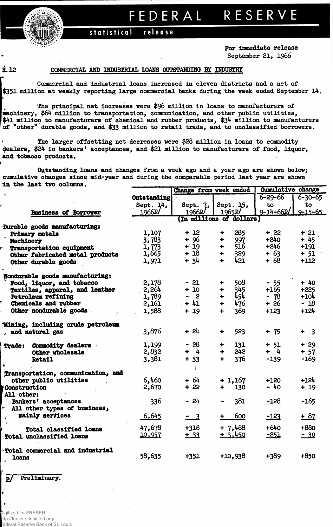

## FEDERA L RESERV E

**statistica l releas e**

**For Immediate release** September 21, 1966

## H. 12 COMMERCIAL AMD INDUSTRIAL LOANS OUTSTANDING BY INDUSTRY

Commercial and Industrial loans Increased in eleven districts and a net of \$351 million at weekly reporting large commercial banks during the week ended September 14.

The principal net increases were \$96 million in loans to manufacturers of machinery, \$64 million to transportation, communication, and other public utilities,  $$41$  million to manufacturers of chemical and rubber products,  $$34$  million to manufacturers of "other" durable goods, and \$33 million to retail trade, and to unclassified borrowers.

The larger offsetting net decreases were \$28 million in loans to commodity dealers, \$24 in bankers' acceptances, and \$21 million to manufacturers of food, liquor, and tobacco products.

Outstanding loans and changes from a week ago and a year ago are shown below; cumulative changes since mid-year and during the comparable period last year are shown in the last two columns.

|                                    |                          | Change from week ended                    |                             | <b>Cumulative change</b> |               |  |  |  |  |  |
|------------------------------------|--------------------------|-------------------------------------------|-----------------------------|--------------------------|---------------|--|--|--|--|--|
|                                    | <b>Outstanding</b>       |                                           |                             | $6 - 29 - 66$            | $6 - 30 - 65$ |  |  |  |  |  |
|                                    | Sept. $14.$              | Sept. 7,                                  | Sept. 15,                   | to                       | to            |  |  |  |  |  |
| <b>Business of Borrower</b>        | 1966P/                   | 1966P/                                    | 1965P                       | $9 - 14 - 66P$           | $9 - 15 - 65$ |  |  |  |  |  |
|                                    | (In millions of dollars) |                                           |                             |                          |               |  |  |  |  |  |
| Durable goods manufacturing:       |                          |                                           |                             |                          |               |  |  |  |  |  |
| Primary metals                     | 1,107                    | $+12$                                     | 285<br>۰                    | $+22$                    | $+21$         |  |  |  |  |  |
| Machinery                          | 3,783                    | $+96$                                     | 997<br>♣                    | $+240$                   | $+45$         |  |  |  |  |  |
| Transportation equipment           | 1,773                    | $+19$                                     | 516<br>$\ddot{\phantom{1}}$ | $+246$                   | $+191$        |  |  |  |  |  |
| Other fabricated metal products    | 1,665                    | $+18$                                     | 329<br>÷                    | $+63$                    | $+ 51$        |  |  |  |  |  |
| Other durable goods                | 1,971                    | $+34$                                     | 421<br>$\ddotmark$          | $+68$                    | $+112$        |  |  |  |  |  |
|                                    |                          |                                           |                             |                          |               |  |  |  |  |  |
| Nondurable goods manufacturing:    |                          |                                           |                             |                          |               |  |  |  |  |  |
| Food, liquor, and tobacco          | 2,178                    | $-21$                                     | 508<br>÷                    | $-55$                    | $+40$         |  |  |  |  |  |
| Textiles, apparel, and leather     | 2,264                    | $+10$                                     | 345<br>+                    | $+165$                   | $+225$        |  |  |  |  |  |
| Petroleum refining                 | 1,789                    | $\overline{\mathbf{2}}$<br>$\blacksquare$ | 454<br>$\ddot{\phantom{1}}$ | $-78$                    | $+104$        |  |  |  |  |  |
| Chemicals and rubber               | 2,161                    | $+41$                                     | 476<br>$\ddot{\phantom{1}}$ | + 26                     | $-18$         |  |  |  |  |  |
| Other nondurable goods             | 1,588                    | $+19$                                     | 369<br>$\ddot{\phantom{1}}$ | $+123$                   | $+124$        |  |  |  |  |  |
|                                    |                          |                                           |                             |                          |               |  |  |  |  |  |
| 'Mining, including crude petroleum |                          |                                           |                             |                          |               |  |  |  |  |  |
| , and natural gas                  | 3,876                    | $+24$                                     | 523<br>╇                    | $+ 75$                   | $+ 3$         |  |  |  |  |  |
|                                    |                          |                                           |                             |                          |               |  |  |  |  |  |
| Commodity dealers<br><b>Trade:</b> | 1,199                    | $-28$                                     | 131<br>÷                    | $+ 51$                   | $+29$         |  |  |  |  |  |
| Other wholesale                    | 2,832                    | $+ 4$                                     | 242<br>$\ddot{\phantom{0}}$ | $+ 4$                    | $+57$         |  |  |  |  |  |
| <b>Retail</b>                      | 3,381                    | $+ 33$                                    | 376<br>$\ddot{\phantom{1}}$ | $-139$                   | $-169$        |  |  |  |  |  |
|                                    |                          |                                           |                             |                          |               |  |  |  |  |  |
| Transportation, communication, and |                          |                                           |                             |                          |               |  |  |  |  |  |
| other public utilities             | 6,460                    | $+64$                                     | $+1,167$                    | $+120$                   | $+124$        |  |  |  |  |  |
| Construction                       | 2,670                    | $+22$                                     | 130<br>$\ddot{\phantom{1}}$ | - 40                     | $+19$         |  |  |  |  |  |
| All other:                         |                          |                                           |                             |                          |               |  |  |  |  |  |
| Bankers' acceptances               | 336                      | - 24                                      | 381                         | $-128$                   | $-165$        |  |  |  |  |  |
| All other types of business,       |                          |                                           |                             |                          |               |  |  |  |  |  |
| mainly services                    | 6,645                    | $-3$                                      | 600<br>$\ddot{\phantom{1}}$ | $-123$                   | $+ 87$        |  |  |  |  |  |
|                                    |                          |                                           |                             |                          |               |  |  |  |  |  |
| <b>Total classified loans</b>      | 47,678                   | $+318$                                    | $+7,488$                    | $+640$                   | $+880$        |  |  |  |  |  |
| Total unclassified loans           | 10,957                   | $+33$                                     | $+3,450$                    | $-251$                   | $-30$         |  |  |  |  |  |
|                                    |                          |                                           |                             |                          |               |  |  |  |  |  |
| *Total commercial and industrial   |                          |                                           |                             |                          |               |  |  |  |  |  |
| loans                              | 58,635                   | $+351$                                    | $+10,938$                   | +389                     | $+850$        |  |  |  |  |  |
|                                    |                          |                                           |                             |                          |               |  |  |  |  |  |

p/ Preliminary.